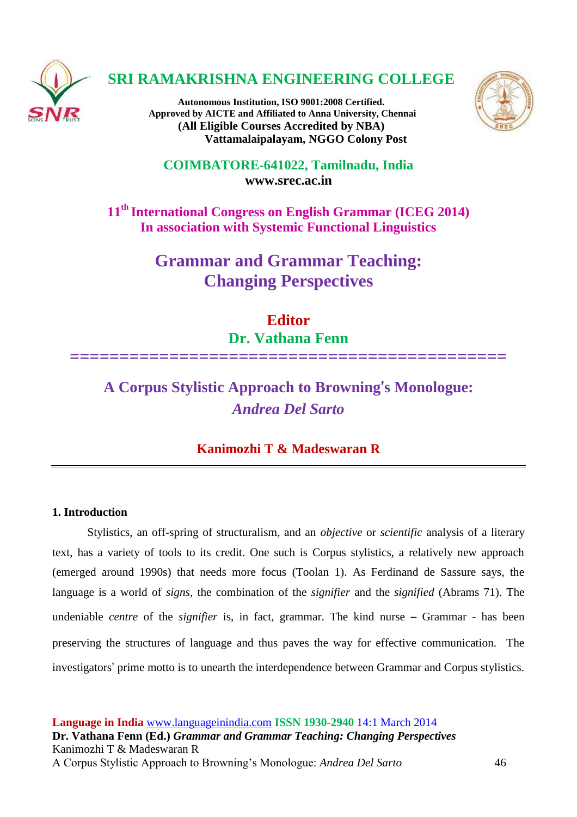

## **SRI RAMAKRISHNA ENGINEERING COLLEGE**

**Autonomous Institution, ISO 9001:2008 Certified. Approved by AICTE and Affiliated to Anna University, Chennai (All Eligible Courses Accredited by NBA) Vattamalaipalayam, NGGO Colony Post**



**COIMBATORE-641022, Tamilnadu, India [www.srec.ac.in](http://www.srec.ac.in/)**

**11th International Congress on English Grammar (ICEG 2014) In association with Systemic Functional Linguistics**

> **Grammar and Grammar Teaching: Changing Perspectives**

> > **Editor Dr. Vathana Fenn**

**============================================**

# **A Corpus Stylistic Approach to Browning**'**s Monologue:**  *Andrea Del Sarto*

### **Kanimozhi T & Madeswaran R**

#### **1. Introduction**

Stylistics, an off-spring of structuralism, and an *objective* or *scientific* analysis of a literary text, has a variety of tools to its credit. One such is Corpus stylistics, a relatively new approach (emerged around 1990s) that needs more focus (Toolan 1). As Ferdinand de Sassure says, the language is a world of *signs*, the combination of the *signifier* and the *signified* (Abrams 71). The undeniable *centre* of the *signifier* is, in fact, grammar. The kind nurse – Grammar - has been preserving the structures of language and thus paves the way for effective communication. The investigators' prime motto is to unearth the interdependence between Grammar and Corpus stylistics.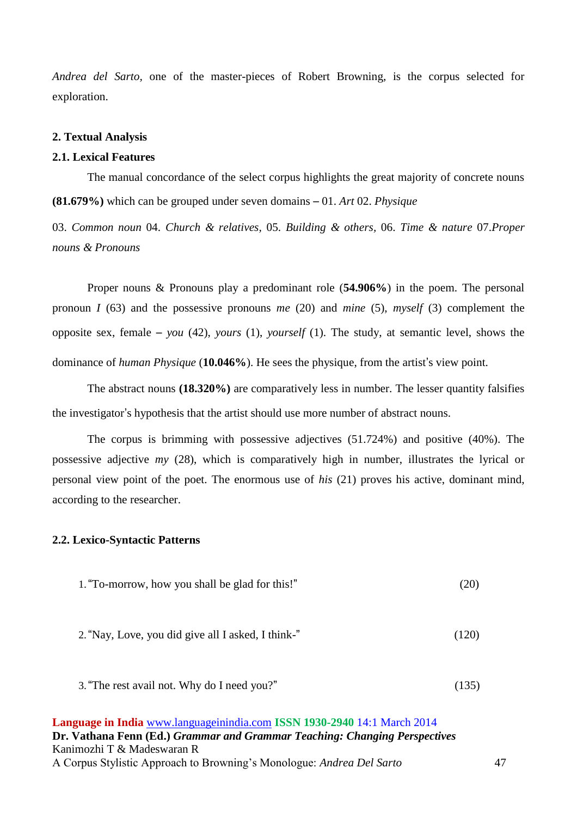*Andrea del Sarto,* one of the master-pieces of Robert Browning, is the corpus selected for exploration.

#### **2. Textual Analysis**

#### **2.1. Lexical Features**

The manual concordance of the select corpus highlights the great majority of concrete nouns **(81.679%)** which can be grouped under seven domains – 01. *Art* 02. *Physique*

03. *Common noun* 04. *Church & relatives,* 05. *Building & others,* 06. *Time & nature* 07.*Proper nouns & Pronouns*

Proper nouns & Pronouns play a predominant role (**54.906%**) in the poem. The personal pronoun *I* (63) and the possessive pronouns *me* (20) and *mine* (5), *myself* (3) complement the opposite sex, female – *you* (42), *yours* (1), *yourself* (1). The study, at semantic level, shows the dominance of *human Physique* (**10.046%**). He sees the physique, from the artist's view point.

The abstract nouns **(18.320%)** are comparatively less in number. The lesser quantity falsifies the investigator's hypothesis that the artist should use more number of abstract nouns.

The corpus is brimming with possessive adjectives (51.724%) and positive (40%). The possessive adjective *my* (28), which is comparatively high in number, illustrates the lyrical or personal view point of the poet. The enormous use of *his* (21) proves his active, dominant mind, according to the researcher.

#### **2.2. Lexico-Syntactic Patterns**

- 1."To-morrow, how you shall be glad for this!" (20)
- 2."Nay, Love, you did give all I asked, I think-" (120)
- 3."The rest avail not. Why do I need you?" (135)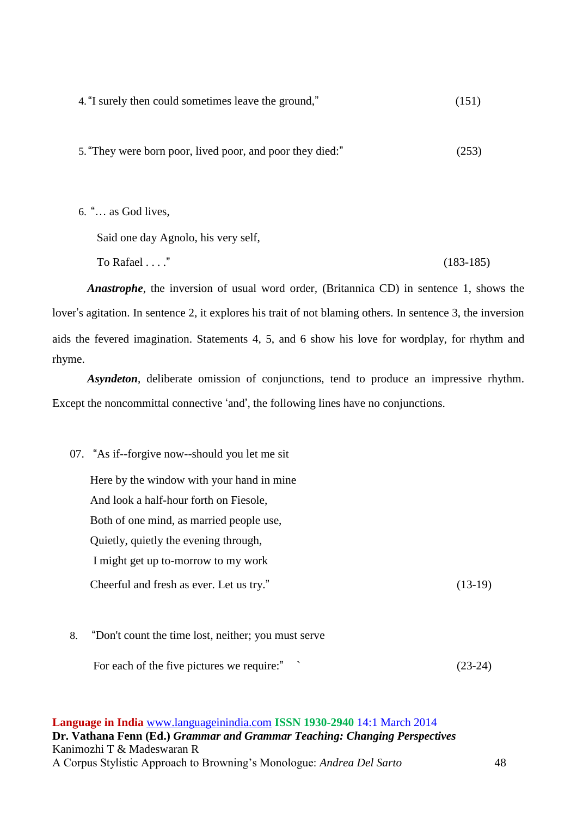4."I surely then could sometimes leave the ground," (151)

5."They were born poor, lived poor, and poor they died:" (253)

6. "… as God lives,

Said one day Agnolo, his very self,

 $To Rafael \ldots$ " (183-185)

*Anastrophe*, the inversion of usual word order*,* (Britannica CD) in sentence 1, shows the lover's agitation. In sentence 2, it explores his trait of not blaming others. In sentence 3, the inversion aids the fevered imagination. Statements 4, 5, and 6 show his love for wordplay, for rhythm and rhyme.

*Asyndeton*, deliberate omission of conjunctions, tend to produce an impressive rhythm. Except the noncommittal connective 'and', the following lines have no conjunctions.

07. "As if--forgive now--should you let me sit

 Here by the window with your hand in mine And look a half-hour forth on Fiesole, Both of one mind, as married people use, Quietly, quietly the evening through, I might get up to-morrow to my work Cheerful and fresh as ever. Let us try." (13-19)

8. "Don't count the time lost, neither; you must serve

For each of the five pictures we require:" ` (23-24)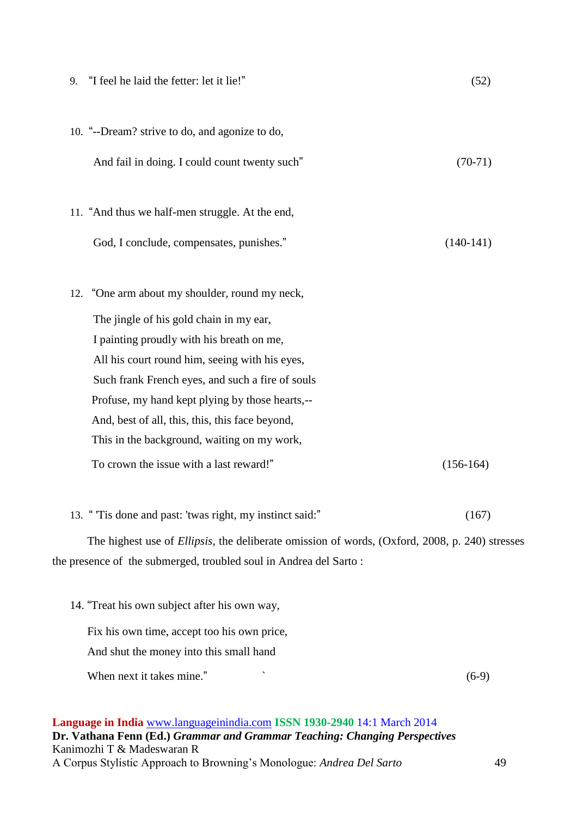| 9. "I feel he laid the fetter: let it lie!"                                                            | (52)        |  |
|--------------------------------------------------------------------------------------------------------|-------------|--|
| 10. "--Dream? strive to do, and agonize to do,                                                         |             |  |
| And fail in doing. I could count twenty such"                                                          | $(70-71)$   |  |
| 11. "And thus we half-men struggle. At the end,                                                        |             |  |
| God, I conclude, compensates, punishes."                                                               | $(140-141)$ |  |
| 12. "One arm about my shoulder, round my neck,                                                         |             |  |
| The jingle of his gold chain in my ear,                                                                |             |  |
| I painting proudly with his breath on me,                                                              |             |  |
| All his court round him, seeing with his eyes,                                                         |             |  |
| Such frank French eyes, and such a fire of souls                                                       |             |  |
| Profuse, my hand kept plying by those hearts,--                                                        |             |  |
| And, best of all, this, this, this face beyond,                                                        |             |  |
| This in the background, waiting on my work,                                                            |             |  |
| To crown the issue with a last reward!"                                                                | $(156-164)$ |  |
| 13. "Tis done and past: 'twas right, my instinct said:"                                                | (167)       |  |
| The highest use of <i>Ellipsis</i> , the deliberate omission of words, (Oxford, 2008, p. 240) stresses |             |  |
| the presence of the submerged, troubled soul in Andrea del Sarto:                                      |             |  |
| 14. "Treat his own subject after his own way,                                                          |             |  |
| Fix his own time, accept too his own price,                                                            |             |  |

When next it takes mine."  $(6-9)$ 

And shut the money into this small hand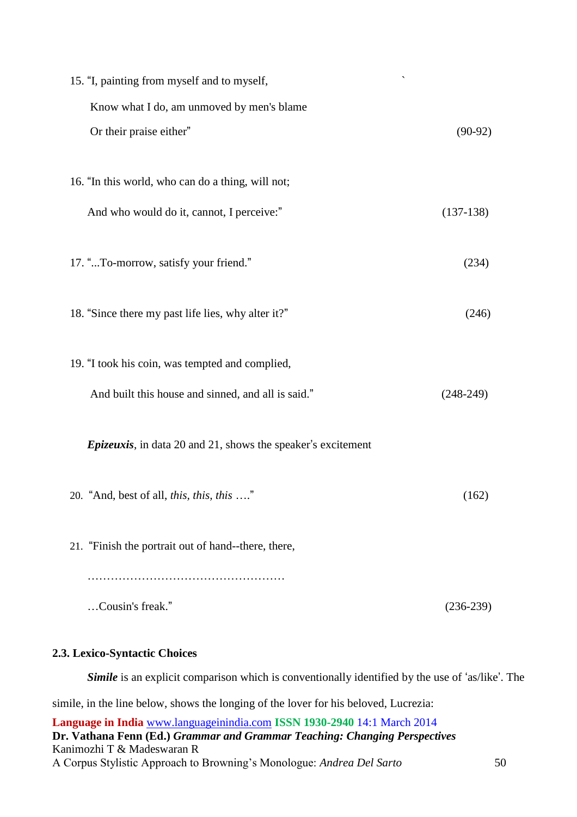| $\overline{\phantom{a}}$<br>15. "I, painting from myself and to myself, |             |
|-------------------------------------------------------------------------|-------------|
| Know what I do, am unmoved by men's blame                               |             |
| Or their praise either"                                                 | $(90-92)$   |
|                                                                         |             |
| 16. "In this world, who can do a thing, will not;                       |             |
| And who would do it, cannot, I perceive:"                               | $(137-138)$ |
|                                                                         |             |
| 17. "To-morrow, satisfy your friend."                                   | (234)       |
| 18. "Since there my past life lies, why alter it?"                      | (246)       |
|                                                                         |             |
| 19. "I took his coin, was tempted and complied,                         |             |
| And built this house and sinned, and all is said."                      | $(248-249)$ |
|                                                                         |             |
| <i>Epizeuxis</i> , in data 20 and 21, shows the speaker's excitement    |             |
|                                                                         |             |
| 20. "And, best of all, this, this, this "                               | (162)       |
| 21. "Finish the portrait out of hand--there, there,                     |             |
|                                                                         |             |
|                                                                         |             |
| Cousin's freak."                                                        | $(236-239)$ |
|                                                                         |             |

## **2.3. Lexico-Syntactic Choices**

*Simile* is an explicit comparison which is conventionally identified by the use of 'as/like'. The simile, in the line below, shows the longing of the lover for his beloved, Lucrezia: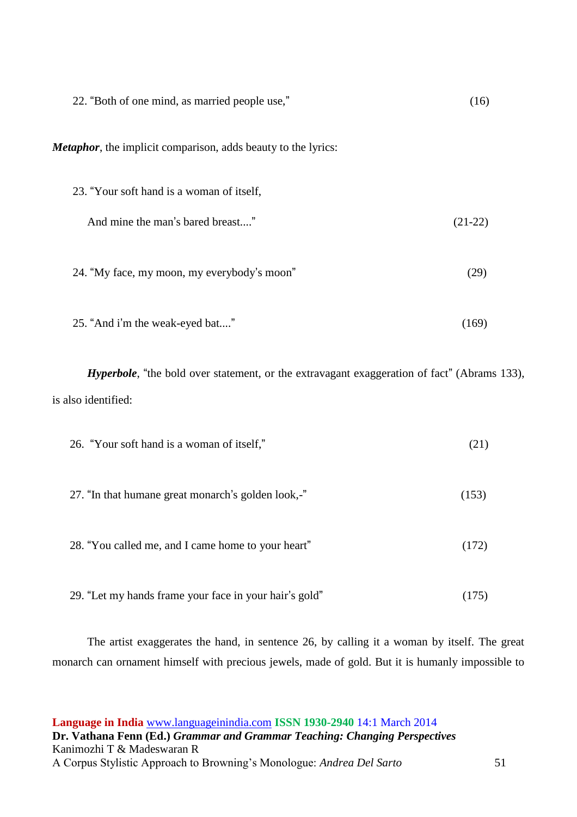| 22. "Both of one mind, as married people use,"                        | (16)      |
|-----------------------------------------------------------------------|-----------|
| <b>Metaphor</b> , the implicit comparison, adds beauty to the lyrics: |           |
| 23. "Your soft hand is a woman of itself,                             |           |
| And mine the man's bared breast"                                      | $(21-22)$ |
| 24. "My face, my moon, my everybody's moon"                           | (29)      |
| 25. "And i'm the weak-eyed bat"                                       | (169)     |

*Hyperbole*, "the bold over statement, or the extravagant exaggeration of fact" (Abrams 133), is also identified:

| 26. "Your soft hand is a woman of itself,"             | (21)  |
|--------------------------------------------------------|-------|
| 27. "In that humane great monarch's golden look,-"     | (153) |
| 28. "You called me, and I came home to your heart"     | (172) |
| 29. "Let my hands frame your face in your hair's gold" |       |

The artist exaggerates the hand, in sentence 26, by calling it a woman by itself. The great monarch can ornament himself with precious jewels, made of gold. But it is humanly impossible to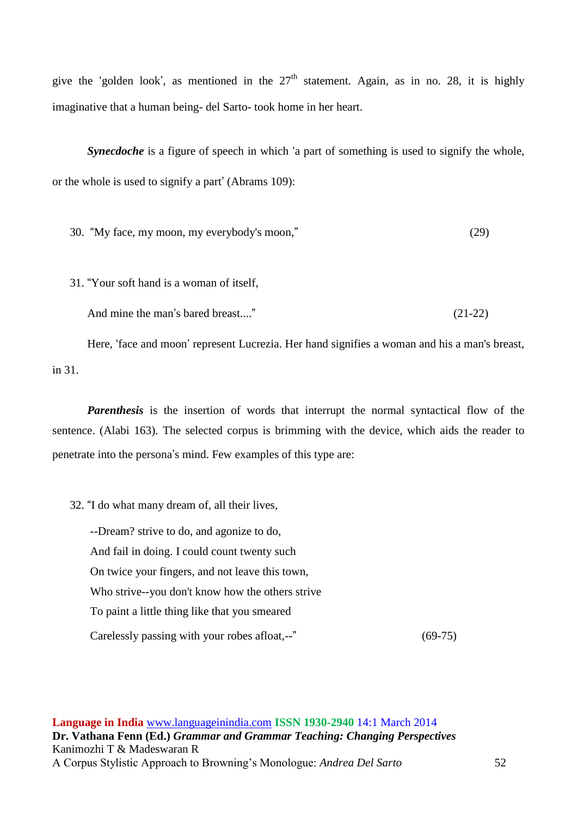give the 'golden look', as mentioned in the  $27<sup>th</sup>$  statement. Again, as in no. 28, it is highly imaginative that a human being- del Sarto- took home in her heart.

*Synecdoche* is a figure of speech in which 'a part of something is used to signify the whole, or the whole is used to signify a part' (Abrams 109):

30. "My face, my moon, my everybody's moon," (29)

31. "Your soft hand is a woman of itself,

And mine the man's bared breast...." (21-22)

Here, 'face and moon' represent Lucrezia. Her hand signifies a woman and his a man's breast, in 31.

*Parenthesis* is the insertion of words that interrupt the normal syntactical flow of the sentence. (Alabi 163). The selected corpus is brimming with the device, which aids the reader to penetrate into the persona's mind. Few examples of this type are:

32. "I do what many dream of, all their lives,

 --Dream? strive to do, and agonize to do, And fail in doing. I could count twenty such On twice your fingers, and not leave this town, Who strive--you don't know how the others strive To paint a little thing like that you smeared Carelessly passing with your robes afloat,--" (69-75)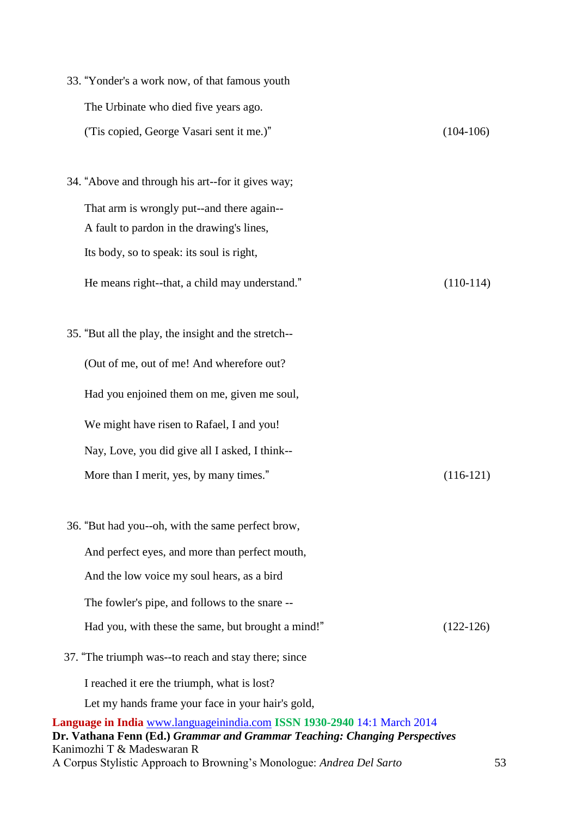| 33. "Yonder's a work now, of that famous youth                                                                                                                                       |             |
|--------------------------------------------------------------------------------------------------------------------------------------------------------------------------------------|-------------|
| The Urbinate who died five years ago.                                                                                                                                                |             |
| ('Tis copied, George Vasari sent it me.)"                                                                                                                                            | $(104-106)$ |
| 34. "Above and through his art--for it gives way;                                                                                                                                    |             |
| That arm is wrongly put--and there again--                                                                                                                                           |             |
| A fault to pardon in the drawing's lines,                                                                                                                                            |             |
| Its body, so to speak: its soul is right,                                                                                                                                            |             |
| He means right--that, a child may understand."                                                                                                                                       | $(110-114)$ |
| 35. "But all the play, the insight and the stretch--                                                                                                                                 |             |
| (Out of me, out of me! And wherefore out?                                                                                                                                            |             |
| Had you enjoined them on me, given me soul,                                                                                                                                          |             |
| We might have risen to Rafael, I and you!                                                                                                                                            |             |
| Nay, Love, you did give all I asked, I think--                                                                                                                                       |             |
| More than I merit, yes, by many times."                                                                                                                                              | $(116-121)$ |
| 36. "But had you--oh, with the same perfect brow,                                                                                                                                    |             |
| And perfect eyes, and more than perfect mouth,                                                                                                                                       |             |
| And the low voice my soul hears, as a bird                                                                                                                                           |             |
| The fowler's pipe, and follows to the snare --                                                                                                                                       |             |
| Had you, with these the same, but brought a mind!"                                                                                                                                   | $(122-126)$ |
| 37. "The triumph was--to reach and stay there; since                                                                                                                                 |             |
| I reached it ere the triumph, what is lost?                                                                                                                                          |             |
| Let my hands frame your face in your hair's gold,                                                                                                                                    |             |
| Language in India www.languageinindia.com ISSN 1930-2940 14:1 March 2014<br>Dr. Vathana Fenn (Ed.) Grammar and Grammar Teaching: Changing Perspectives<br>Kanimozhi T & Madeswaran R |             |

A Corpus Stylistic Approach to Browning's Monologue: *Andrea Del Sarto* 53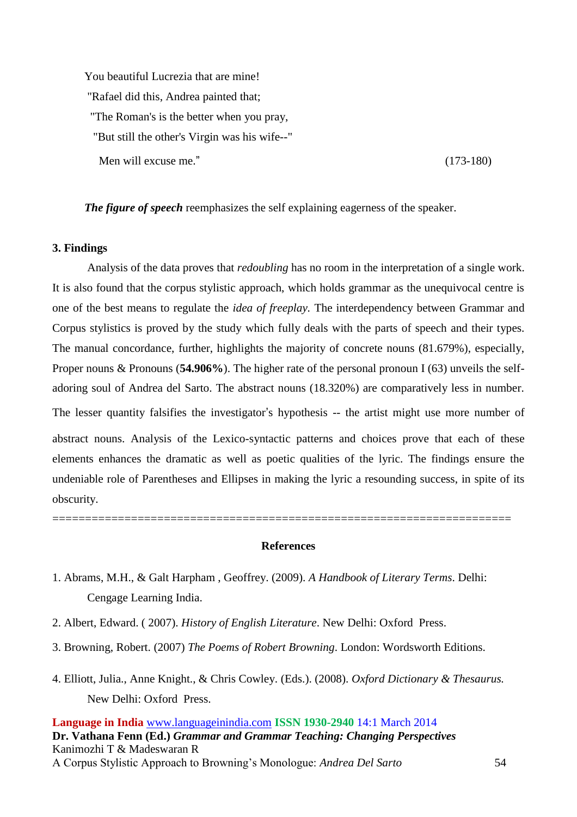You beautiful Lucrezia that are mine! "Rafael did this, Andrea painted that; "The Roman's is the better when you pray, "But still the other's Virgin was his wife--" Men will excuse me." (173-180)

*The figure of speech* reemphasizes the self explaining eagerness of the speaker.

#### **3. Findings**

Analysis of the data proves that *redoubling* has no room in the interpretation of a single work. It is also found that the corpus stylistic approach, which holds grammar as the unequivocal centre is one of the best means to regulate the *idea of freeplay.* The interdependency between Grammar and Corpus stylistics is proved by the study which fully deals with the parts of speech and their types. The manual concordance, further, highlights the majority of concrete nouns (81.679%), especially, Proper nouns & Pronouns (**54.906%**). The higher rate of the personal pronoun I (63) unveils the selfadoring soul of Andrea del Sarto. The abstract nouns (18.320%) are comparatively less in number. The lesser quantity falsifies the investigator's hypothesis -- the artist might use more number of abstract nouns. Analysis of the Lexico-syntactic patterns and choices prove that each of these elements enhances the dramatic as well as poetic qualities of the lyric. The findings ensure the undeniable role of Parentheses and Ellipses in making the lyric a resounding success, in spite of its obscurity.

======================================================================

#### **References**

- 1. Abrams, M.H., & Galt Harpham , Geoffrey. (2009). *A Handbook of Literary Terms*. Delhi: Cengage Learning India.
- 2. Albert, Edward. ( 2007). *History of English Literature*. New Delhi: Oxford Press.
- 3. Browning, Robert. (2007) *The Poems of Robert Browning*. London: Wordsworth Editions.
- 4. Elliott, Julia., Anne Knight., & Chris Cowley. (Eds.). (2008). *Oxford Dictionary & Thesaurus.*  New Delhi: Oxford Press.